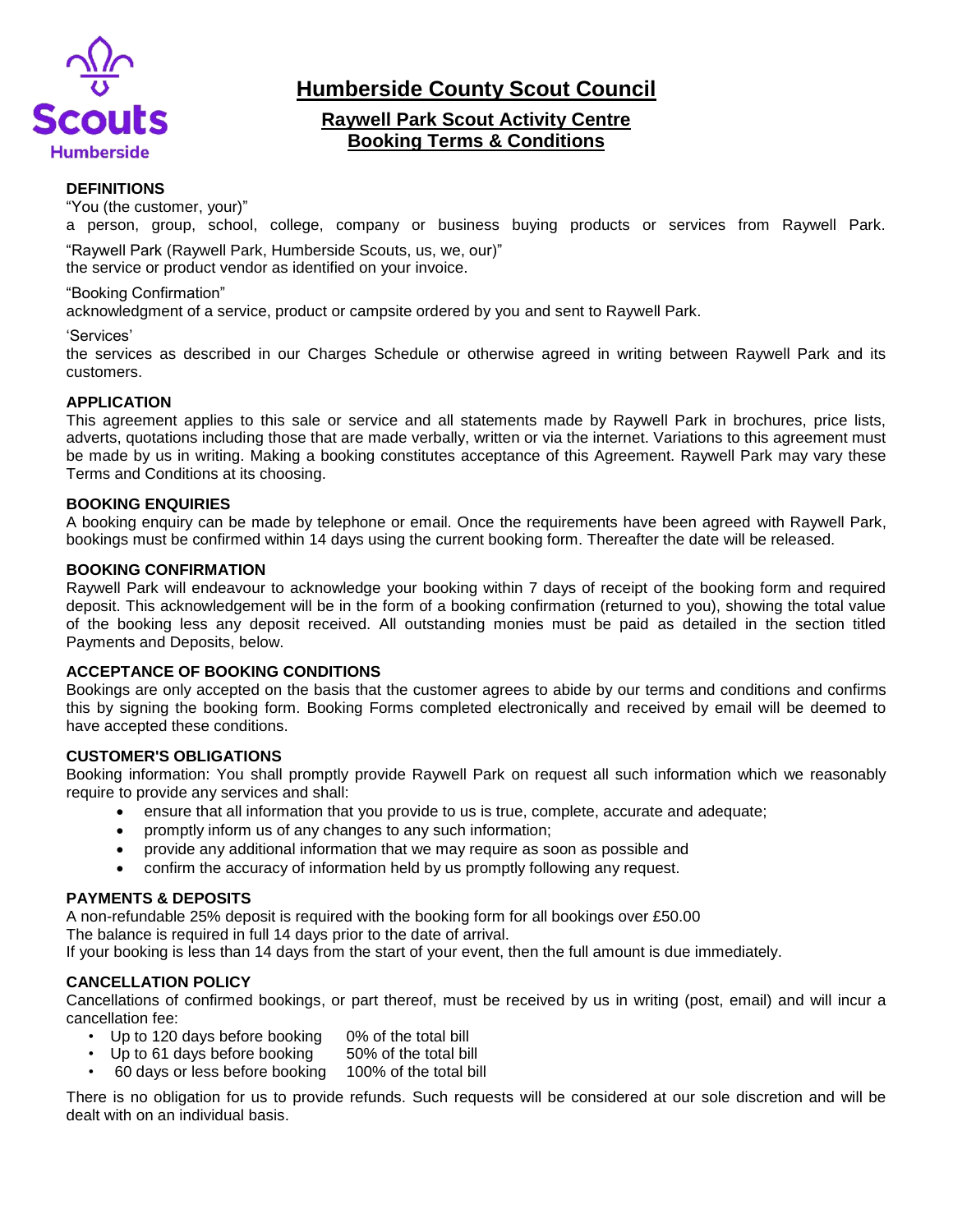

**Humberside County Scout Council**

# **Raywell Park Scout Activity Centre Booking Terms & Conditions**

# **DEFINITIONS**

"You (the customer, your)"

a person, group, school, college, company or business buying products or services from Raywell Park.

"Raywell Park (Raywell Park, Humberside Scouts, us, we, our)" the service or product vendor as identified on your invoice.

#### "Booking Confirmation"

acknowledgment of a service, product or campsite ordered by you and sent to Raywell Park.

#### 'Services'

the services as described in our Charges Schedule or otherwise agreed in writing between Raywell Park and its customers.

# **APPLICATION**

This agreement applies to this sale or service and all statements made by Raywell Park in brochures, price lists, adverts, quotations including those that are made verbally, written or via the internet. Variations to this agreement must be made by us in writing. Making a booking constitutes acceptance of this Agreement. Raywell Park may vary these Terms and Conditions at its choosing.

#### **BOOKING ENQUIRIES**

A booking enquiry can be made by telephone or email. Once the requirements have been agreed with Raywell Park, bookings must be confirmed within 14 days using the current booking form. Thereafter the date will be released.

#### **BOOKING CONFIRMATION**

Raywell Park will endeavour to acknowledge your booking within 7 days of receipt of the booking form and required deposit. This acknowledgement will be in the form of a booking confirmation (returned to you), showing the total value of the booking less any deposit received. All outstanding monies must be paid as detailed in the section titled Payments and Deposits, below.

# **ACCEPTANCE OF BOOKING CONDITIONS**

Bookings are only accepted on the basis that the customer agrees to abide by our terms and conditions and confirms this by signing the booking form. Booking Forms completed electronically and received by email will be deemed to have accepted these conditions.

# **CUSTOMER'S OBLIGATIONS**

Booking information: You shall promptly provide Raywell Park on request all such information which we reasonably require to provide any services and shall:

- ensure that all information that you provide to us is true, complete, accurate and adequate;
- promptly inform us of any changes to any such information;
- provide any additional information that we may require as soon as possible and
- confirm the accuracy of information held by us promptly following any request.

# **PAYMENTS & DEPOSITS**

A non-refundable 25% deposit is required with the booking form for all bookings over £50.00 The balance is required in full 14 days prior to the date of arrival.

If your booking is less than 14 days from the start of your event, then the full amount is due immediately.

# **CANCELLATION POLICY**

Cancellations of confirmed bookings, or part thereof, must be received by us in writing (post, email) and will incur a cancellation fee:

- Up to 120 days before booking 0% of the total bill
- Up to 61 days before booking 50% of the total bill
- 60 days or less before booking 100% of the total bill

There is no obligation for us to provide refunds. Such requests will be considered at our sole discretion and will be dealt with on an individual basis.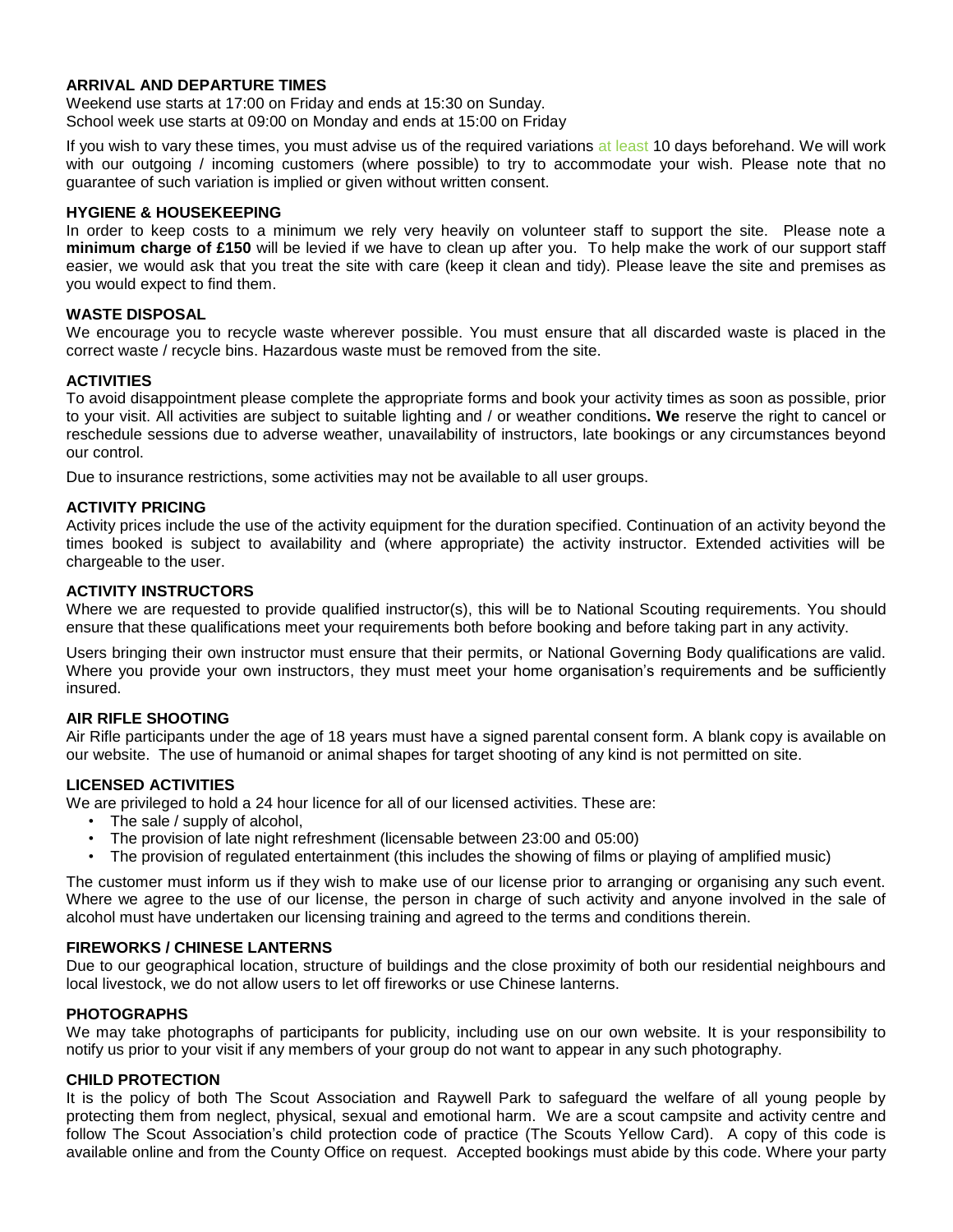# **ARRIVAL AND DEPARTURE TIMES**

Weekend use starts at 17:00 on Friday and ends at 15:30 on Sunday. School week use starts at 09:00 on Monday and ends at 15:00 on Friday

If you wish to vary these times, you must advise us of the required variations at least 10 days beforehand. We will work with our outgoing / incoming customers (where possible) to try to accommodate your wish. Please note that no guarantee of such variation is implied or given without written consent.

#### **HYGIENE & HOUSEKEEPING**

In order to keep costs to a minimum we rely very heavily on volunteer staff to support the site. Please note a **minimum charge of £150** will be levied if we have to clean up after you. To help make the work of our support staff easier, we would ask that you treat the site with care (keep it clean and tidy). Please leave the site and premises as you would expect to find them.

#### **WASTE DISPOSAL**

We encourage you to recycle waste wherever possible. You must ensure that all discarded waste is placed in the correct waste / recycle bins. Hazardous waste must be removed from the site.

# **ACTIVITIES**

To avoid disappointment please complete the appropriate forms and book your activity times as soon as possible, prior to your visit. All activities are subject to suitable lighting and / or weather conditions**. We** reserve the right to cancel or reschedule sessions due to adverse weather, unavailability of instructors, late bookings or any circumstances beyond our control.

Due to insurance restrictions, some activities may not be available to all user groups.

#### **ACTIVITY PRICING**

Activity prices include the use of the activity equipment for the duration specified. Continuation of an activity beyond the times booked is subject to availability and (where appropriate) the activity instructor. Extended activities will be chargeable to the user.

#### **ACTIVITY INSTRUCTORS**

Where we are requested to provide qualified instructor(s), this will be to National Scouting requirements. You should ensure that these qualifications meet your requirements both before booking and before taking part in any activity.

Users bringing their own instructor must ensure that their permits, or National Governing Body qualifications are valid. Where you provide your own instructors, they must meet your home organisation's requirements and be sufficiently insured.

# **AIR RIFLE SHOOTING**

Air Rifle participants under the age of 18 years must have a signed parental consent form. A blank copy is available on our website. The use of humanoid or animal shapes for target shooting of any kind is not permitted on site.

# **LICENSED ACTIVITIES**

We are privileged to hold a 24 hour licence for all of our licensed activities. These are:

- The sale / supply of alcohol,
- The provision of late night refreshment (licensable between 23:00 and 05:00)
- The provision of regulated entertainment (this includes the showing of films or playing of amplified music)

The customer must inform us if they wish to make use of our license prior to arranging or organising any such event. Where we agree to the use of our license, the person in charge of such activity and anyone involved in the sale of alcohol must have undertaken our licensing training and agreed to the terms and conditions therein.

#### **FIREWORKS / CHINESE LANTERNS**

Due to our geographical location, structure of buildings and the close proximity of both our residential neighbours and local livestock, we do not allow users to let off fireworks or use Chinese lanterns.

# **PHOTOGRAPHS**

We may take photographs of participants for publicity, including use on our own website. It is your responsibility to notify us prior to your visit if any members of your group do not want to appear in any such photography.

# **CHILD PROTECTION**

It is the policy of both The Scout Association and Raywell Park to safeguard the welfare of all young people by protecting them from neglect, physical, sexual and emotional harm. We are a scout campsite and activity centre and follow The Scout Association's child protection code of practice (The Scouts Yellow Card). A copy of this code is available online and from the County Office on request. Accepted bookings must abide by this code. Where your party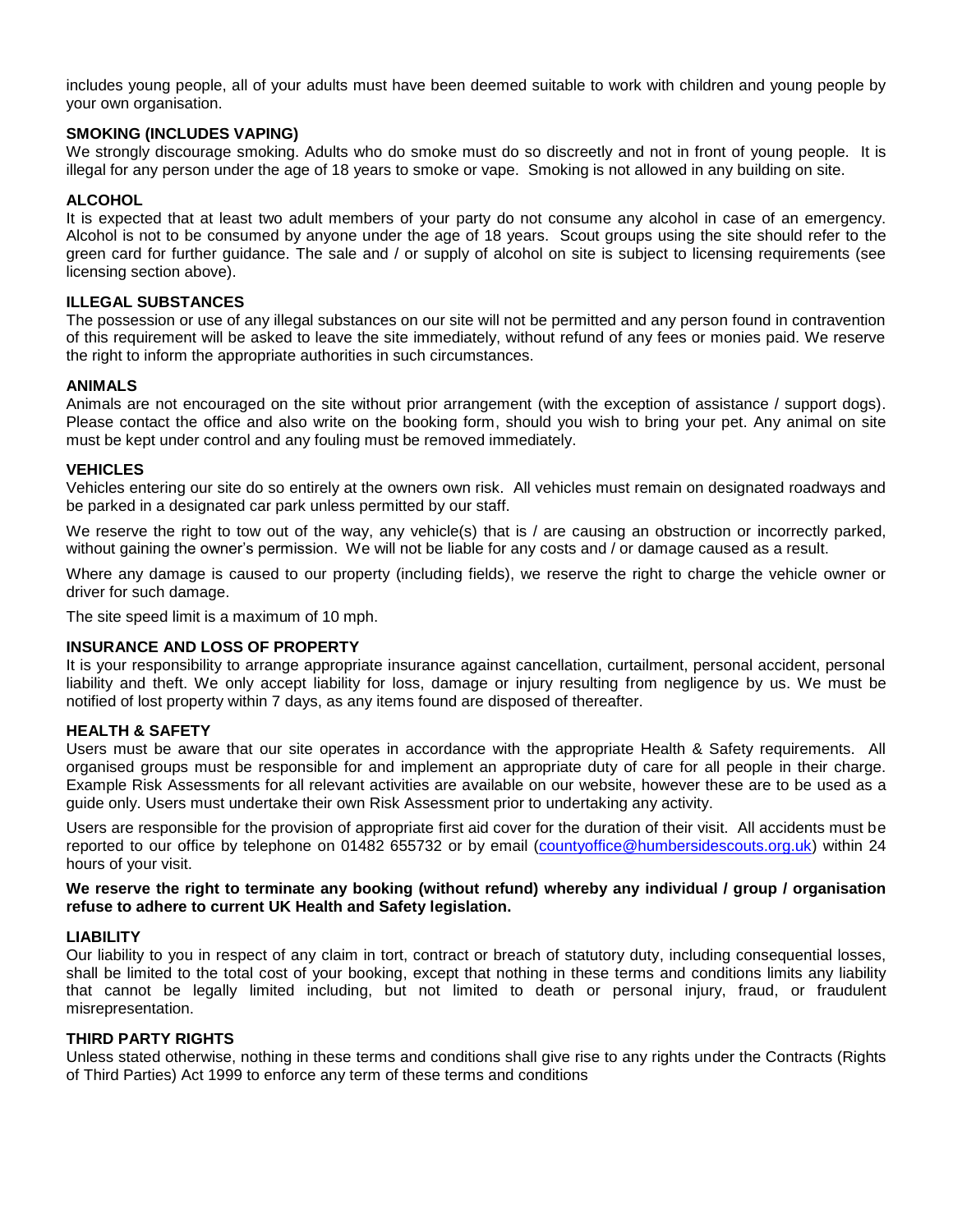includes young people, all of your adults must have been deemed suitable to work with children and young people by your own organisation.

# **SMOKING (INCLUDES VAPING)**

We strongly discourage smoking. Adults who do smoke must do so discreetly and not in front of young people. It is illegal for any person under the age of 18 years to smoke or vape. Smoking is not allowed in any building on site.

# **ALCOHOL**

It is expected that at least two adult members of your party do not consume any alcohol in case of an emergency. Alcohol is not to be consumed by anyone under the age of 18 years. Scout groups using the site should refer to the green card for further guidance. The sale and / or supply of alcohol on site is subject to licensing requirements (see licensing section above).

# **ILLEGAL SUBSTANCES**

The possession or use of any illegal substances on our site will not be permitted and any person found in contravention of this requirement will be asked to leave the site immediately, without refund of any fees or monies paid. We reserve the right to inform the appropriate authorities in such circumstances.

#### **ANIMALS**

Animals are not encouraged on the site without prior arrangement (with the exception of assistance / support dogs). Please contact the office and also write on the booking form, should you wish to bring your pet. Any animal on site must be kept under control and any fouling must be removed immediately.

#### **VEHICLES**

Vehicles entering our site do so entirely at the owners own risk. All vehicles must remain on designated roadways and be parked in a designated car park unless permitted by our staff.

We reserve the right to tow out of the way, any vehicle(s) that is / are causing an obstruction or incorrectly parked, without gaining the owner's permission. We will not be liable for any costs and / or damage caused as a result.

Where any damage is caused to our property (including fields), we reserve the right to charge the vehicle owner or driver for such damage.

The site speed limit is a maximum of 10 mph.

#### **INSURANCE AND LOSS OF PROPERTY**

It is your responsibility to arrange appropriate insurance against cancellation, curtailment, personal accident, personal liability and theft. We only accept liability for loss, damage or injury resulting from negligence by us. We must be notified of lost property within 7 days, as any items found are disposed of thereafter.

#### **HEALTH & SAFETY**

Users must be aware that our site operates in accordance with the appropriate Health & Safety requirements. All organised groups must be responsible for and implement an appropriate duty of care for all people in their charge. Example Risk Assessments for all relevant activities are available on our website, however these are to be used as a guide only. Users must undertake their own Risk Assessment prior to undertaking any activity.

Users are responsible for the provision of appropriate first aid cover for the duration of their visit. All accidents must be reported to our office by telephone on 01482 655732 or by email [\(countyoffice@humbersidescouts.org.uk\)](mailto:countyoffice@humbersidescouts.org.uk) within 24 hours of your visit.

**We reserve the right to terminate any booking (without refund) whereby any individual / group / organisation refuse to adhere to current UK Health and Safety legislation.**

#### **LIABILITY**

Our liability to you in respect of any claim in tort, contract or breach of statutory duty, including consequential losses, shall be limited to the total cost of your booking, except that nothing in these terms and conditions limits any liability that cannot be legally limited including, but not limited to death or personal injury, fraud, or fraudulent misrepresentation.

#### **THIRD PARTY RIGHTS**

Unless stated otherwise, nothing in these terms and conditions shall give rise to any rights under the Contracts (Rights of Third Parties) Act 1999 to enforce any term of these terms and conditions